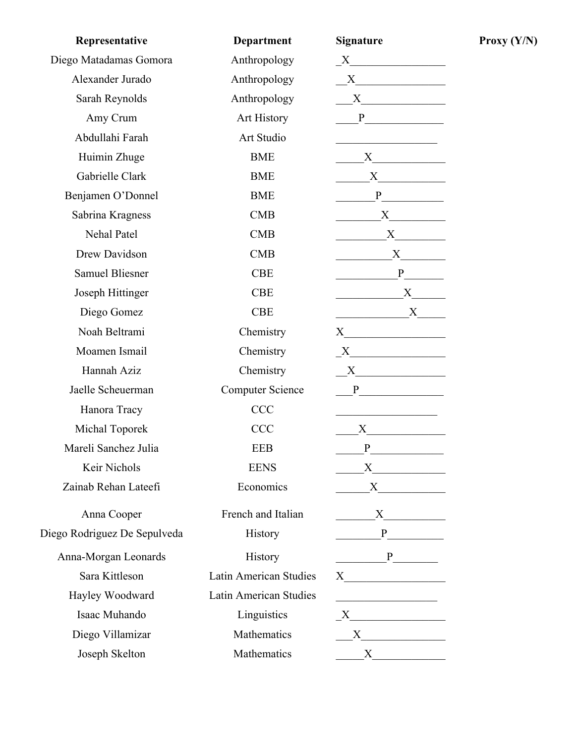| Representative               | <b>Department</b>             | <b>Signature</b>                                                                                                                                                                                                              |
|------------------------------|-------------------------------|-------------------------------------------------------------------------------------------------------------------------------------------------------------------------------------------------------------------------------|
| Diego Matadamas Gomora       | Anthropology                  | $\begin{tabular}{c} $X$ & \end{tabular}$                                                                                                                                                                                      |
| Alexander Jurado             | Anthropology                  | X                                                                                                                                                                                                                             |
| Sarah Reynolds               | Anthropology                  | $X$ and $X$ and $X$ and $X$ and $X$ and $X$ and $X$ and $X$ and $X$ and $X$ and $X$ and $X$ and $X$ and $X$ and $X$ and $X$ and $X$ and $X$ and $X$ and $X$ and $X$ and $X$ and $X$ and $X$ and $X$ and $X$ and $X$ and $X$ a |
| Amy Crum                     | Art History                   | P                                                                                                                                                                                                                             |
| Abdullahi Farah              | Art Studio                    |                                                                                                                                                                                                                               |
| Huimin Zhuge                 | <b>BME</b>                    |                                                                                                                                                                                                                               |
| Gabrielle Clark              | <b>BME</b>                    |                                                                                                                                                                                                                               |
| Benjamen O'Donnel            | <b>BME</b>                    |                                                                                                                                                                                                                               |
| Sabrina Kragness             | CMB                           | $X \sim$                                                                                                                                                                                                                      |
| Nehal Patel                  | <b>CMB</b>                    |                                                                                                                                                                                                                               |
| Drew Davidson                | CMB                           | $X \sim$                                                                                                                                                                                                                      |
| <b>Samuel Bliesner</b>       | <b>CBE</b>                    | $P \qquad \qquad$                                                                                                                                                                                                             |
| Joseph Hittinger             | <b>CBE</b>                    | X                                                                                                                                                                                                                             |
| Diego Gomez                  | <b>CBE</b>                    | $\begin{array}{c}\nX \longrightarrow \n\end{array}$                                                                                                                                                                           |
| Noah Beltrami                | Chemistry                     |                                                                                                                                                                                                                               |
| Moamen Ismail                | Chemistry                     | $\begin{array}{c c} \text{X} & \text{X} & \text{X} \\ \hline \end{array}$                                                                                                                                                     |
| Hannah Aziz                  | Chemistry                     | $X$ and $X$ and $X$ and $X$ and $X$ and $X$ and $X$ and $X$ and $X$ and $X$ and $X$ and $X$ and $X$ and $X$ and $X$ and $X$ and $X$ and $X$ and $X$ and $X$ and $X$ and $X$ and $X$ and $X$ and $X$ and $X$ and $X$ and $X$ a |
| Jaelle Scheuerman            | <b>Computer Science</b>       |                                                                                                                                                                                                                               |
| Hanora Tracy                 | <b>CCC</b>                    | the control of the control of the control of                                                                                                                                                                                  |
| Michal Toporek               | <b>CCC</b>                    | $X \sim$                                                                                                                                                                                                                      |
| Mareli Sanchez Julia         | <b>EEB</b>                    |                                                                                                                                                                                                                               |
| Keir Nichols                 | <b>EENS</b>                   |                                                                                                                                                                                                                               |
| Zainab Rehan Lateefi         | Economics                     |                                                                                                                                                                                                                               |
| Anna Cooper                  | French and Italian            | X                                                                                                                                                                                                                             |
| Diego Rodriguez De Sepulveda | <b>History</b>                |                                                                                                                                                                                                                               |
| Anna-Morgan Leonards         | <b>History</b>                | P                                                                                                                                                                                                                             |
| Sara Kittleson               | Latin American Studies        |                                                                                                                                                                                                                               |
| Hayley Woodward              | <b>Latin American Studies</b> | <u> 1989 - Johann John Stein, markin fan it fjort fan it fjort fan it fjort fan it fjort fan it fjort fan it fjor</u>                                                                                                         |
| Isaac Muhando                | Linguistics                   |                                                                                                                                                                                                                               |
| Diego Villamizar             | Mathematics                   |                                                                                                                                                                                                                               |
| Joseph Skelton               | Mathematics                   | $X$ and $X$ and $X$ and $X$ and $X$ and $X$ and $X$ and $X$ and $X$ and $X$ and $X$ and $X$ and $X$ and $X$ and $X$ and $X$ and $X$ and $X$ and $X$ and $X$ and $X$ and $X$ and $X$ and $X$ and $X$ and $X$ and $X$ and $X$ a |

**Proxy (Y/N)**